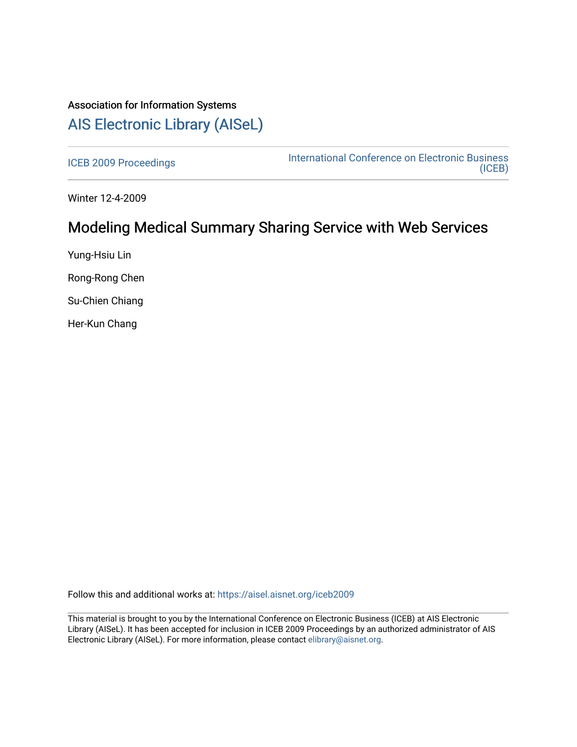# Association for Information Systems [AIS Electronic Library \(AISeL\)](https://aisel.aisnet.org/)

[ICEB 2009 Proceedings](https://aisel.aisnet.org/iceb2009) **International Conference on Electronic Business** [\(ICEB\)](https://aisel.aisnet.org/iceb) 

Winter 12-4-2009

# Modeling Medical Summary Sharing Service with Web Services

Yung-Hsiu Lin

Rong-Rong Chen

Su-Chien Chiang

Her-Kun Chang

Follow this and additional works at: [https://aisel.aisnet.org/iceb2009](https://aisel.aisnet.org/iceb2009?utm_source=aisel.aisnet.org%2Ficeb2009%2F9&utm_medium=PDF&utm_campaign=PDFCoverPages)

This material is brought to you by the International Conference on Electronic Business (ICEB) at AIS Electronic Library (AISeL). It has been accepted for inclusion in ICEB 2009 Proceedings by an authorized administrator of AIS Electronic Library (AISeL). For more information, please contact [elibrary@aisnet.org.](mailto:elibrary@aisnet.org%3E)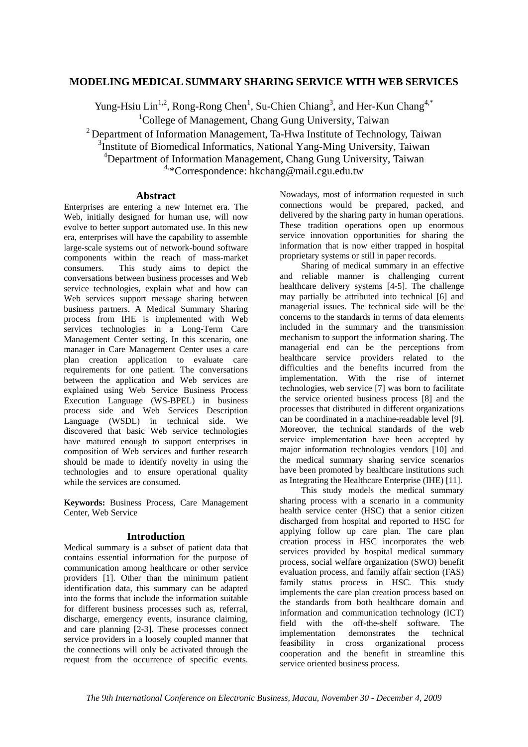## **MODELING MEDICAL SUMMARY SHARING SERVICE WITH WEB SERVICES**

Yung-Hsiu Lin<sup>1,2</sup>, Rong-Rong Chen<sup>1</sup>, Su-Chien Chiang<sup>3</sup>, and Her-Kun Chang<sup>4,\*</sup> <sup>1</sup>College of Management, Chang Gung University, Taiwan

<sup>2</sup> Department of Information Management, Ta-Hwa Institute of Technology, Taiwan <sup>3</sup>Institute of Biomedical Informatics, National Yang-Ming University, Taiwan 4 Department of Information Management, Chang Gung University, Taiwan <sup>4,\*</sup>Correspondence: hkchang@mail.cgu.edu.tw

### **Abstract**

Enterprises are entering a new Internet era. The Web, initially designed for human use, will now evolve to better support automated use. In this new era, enterprises will have the capability to assemble large-scale systems out of network-bound software components within the reach of mass-market consumers. This study aims to depict the conversations between business processes and Web service technologies, explain what and how can Web services support message sharing between business partners. A Medical Summary Sharing process from IHE is implemented with Web services technologies in a Long-Term Care Management Center setting. In this scenario, one manager in Care Management Center uses a care plan creation application to evaluate care requirements for one patient. The conversations between the application and Web services are explained using Web Service Business Process Execution Language (WS-BPEL) in business process side and Web Services Description Language (WSDL) in technical side. We discovered that basic Web service technologies have matured enough to support enterprises in composition of Web services and further research should be made to identify novelty in using the technologies and to ensure operational quality while the services are consumed.

**Keywords:** Business Process, Care Management Center, Web Service

## **Introduction**

Medical summary is a subset of patient data that contains essential information for the purpose of communication among healthcare or other service providers [1]. Other than the minimum patient identification data, this summary can be adapted into the forms that include the information suitable for different business processes such as, referral, discharge, emergency events, insurance claiming, and care planning [2-3]. These processes connect service providers in a loosely coupled manner that the connections will only be activated through the request from the occurrence of specific events.

Nowadays, most of information requested in such connections would be prepared, packed, and delivered by the sharing party in human operations. These tradition operations open up enormous service innovation opportunities for sharing the information that is now either trapped in hospital proprietary systems or still in paper records.

Sharing of medical summary in an effective and reliable manner is challenging current healthcare delivery systems [4-5]. The challenge may partially be attributed into technical [6] and managerial issues. The technical side will be the concerns to the standards in terms of data elements included in the summary and the transmission mechanism to support the information sharing. The managerial end can be the perceptions from healthcare service providers related to the difficulties and the benefits incurred from the implementation. With the rise of internet technologies, web service [7] was born to facilitate the service oriented business process [8] and the processes that distributed in different organizations can be coordinated in a machine-readable level [9]. Moreover, the technical standards of the web service implementation have been accepted by major information technologies vendors [10] and the medical summary sharing service scenarios have been promoted by healthcare institutions such as Integrating the Healthcare Enterprise (IHE) [11].

This study models the medical summary sharing process with a scenario in a community health service center (HSC) that a senior citizen discharged from hospital and reported to HSC for applying follow up care plan. The care plan creation process in HSC incorporates the web services provided by hospital medical summary process, social welfare organization (SWO) benefit evaluation process, and family affair section (FAS) family status process in HSC. This study implements the care plan creation process based on the standards from both healthcare domain and information and communication technology (ICT) field with the off-the-shelf software. The implementation demonstrates the technical feasibility in cross organizational process cooperation and the benefit in streamline this service oriented business process.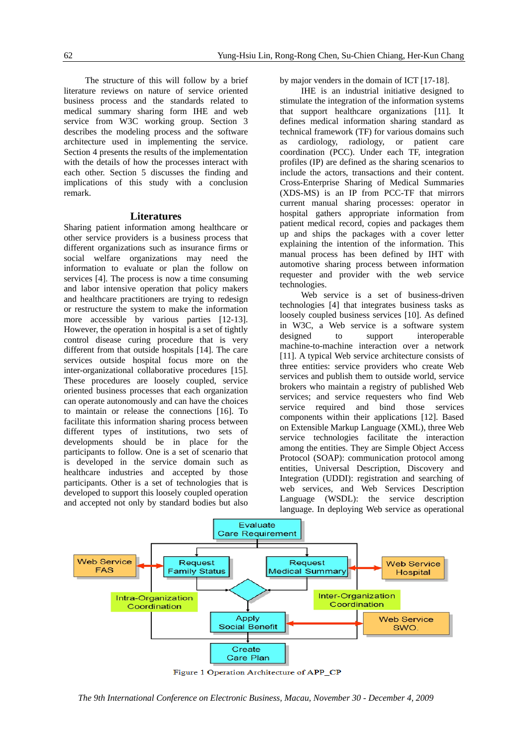The structure of this will follow by a brief literature reviews on nature of service oriented business process and the standards related to medical summary sharing form IHE and web service from W3C working group. Section 3 describes the modeling process and the software architecture used in implementing the service. Section 4 presents the results of the implementation with the details of how the processes interact with each other. Section 5 discusses the finding and implications of this study with a conclusion remark.

#### **Literatures**

Sharing patient information among healthcare or other service providers is a business process that different organizations such as insurance firms or social welfare organizations may need the information to evaluate or plan the follow on services [4]. The process is now a time consuming and labor intensive operation that policy makers and healthcare practitioners are trying to redesign or restructure the system to make the information more accessible by various parties [12-13]. However, the operation in hospital is a set of tightly control disease curing procedure that is very different from that outside hospitals [14]. The care services outside hospital focus more on the inter-organizational collaborative procedures [15]. These procedures are loosely coupled, service oriented business processes that each organization can operate autonomously and can have the choices to maintain or release the connections [16]. To facilitate this information sharing process between different types of institutions, two sets of developments should be in place for the participants to follow. One is a set of scenario that is developed in the service domain such as healthcare industries and accepted by those participants. Other is a set of technologies that is developed to support this loosely coupled operation and accepted not only by standard bodies but also

by major venders in the domain of ICT [17-18].

IHE is an industrial initiative designed to stimulate the integration of the information systems that support healthcare organizations [11]. It defines medical information sharing standard as technical framework (TF) for various domains such as cardiology, radiology, or patient care coordination (PCC). Under each TF, integration profiles (IP) are defined as the sharing scenarios to include the actors, transactions and their content. Cross-Enterprise Sharing of Medical Summaries (XDS-MS) is an IP from PCC-TF that mirrors current manual sharing processes: operator in hospital gathers appropriate information from patient medical record, copies and packages them up and ships the packages with a cover letter explaining the intention of the information. This manual process has been defined by IHT with automotive sharing process between information requester and provider with the web service technologies.

Web service is a set of business-driven technologies [4] that integrates business tasks as loosely coupled business services [10]. As defined in W3C, a Web service is a software system designed to support interoperable machine-to-machine interaction over a network [11]. A typical Web service architecture consists of three entities: service providers who create Web services and publish them to outside world, service brokers who maintain a registry of published Web services; and service requesters who find Web service required and bind those services components within their applications [12]. Based on Extensible Markup Language (XML), three Web service technologies facilitate the interaction among the entities. They are Simple Object Access Protocol (SOAP): communication protocol among entities, Universal Description, Discovery and Integration (UDDI): registration and searching of web services, and Web Services Description Language (WSDL): the service description language. In deploying Web service as operational



Figure 1 Operation Architecture of APP\_CP

*The 9th International Conference on Electronic Business, Macau, November 30 - December 4, 2009*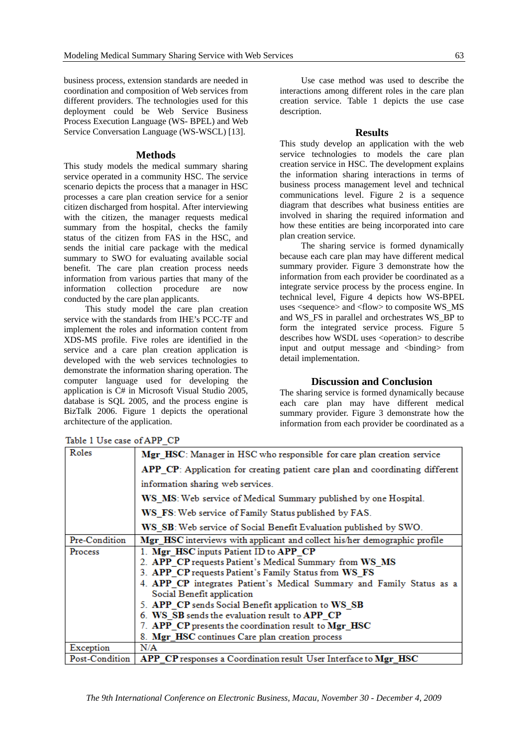business process, extension standards are needed in coordination and composition of Web services from different providers. The technologies used for this deployment could be Web Service Business Process Execution Language (WS- BPEL) and Web Service Conversation Language (WS-WSCL) [13].

#### **Methods**

This study models the medical summary sharing service operated in a community HSC. The service scenario depicts the process that a manager in HSC processes a care plan creation service for a senior citizen discharged from hospital. After interviewing with the citizen, the manager requests medical summary from the hospital, checks the family status of the citizen from FAS in the HSC, and sends the initial care package with the medical summary to SWO for evaluating available social benefit. The care plan creation process needs information from various parties that many of the information collection procedure are now conducted by the care plan applicants.

This study model the care plan creation service with the standards from IHE's PCC-TF and implement the roles and information content from XDS-MS profile. Five roles are identified in the service and a care plan creation application is developed with the web services technologies to demonstrate the information sharing operation. The computer language used for developing the application is C# in Microsoft Visual Studio 2005, database is SQL 2005, and the process engine is BizTalk 2006. Figure 1 depicts the operational architecture of the application.

Use case method was used to describe the interactions among different roles in the care plan creation service. Table 1 depicts the use case description.

#### **Results**

This study develop an application with the web service technologies to models the care plan creation service in HSC. The development explains the information sharing interactions in terms of business process management level and technical communications level. Figure 2 is a sequence diagram that describes what business entities are involved in sharing the required information and how these entities are being incorporated into care plan creation service.

The sharing service is formed dynamically because each care plan may have different medical summary provider. Figure 3 demonstrate how the information from each provider be coordinated as a integrate service process by the process engine. In technical level, Figure 4 depicts how WS-BPEL uses <sequence> and <flow> to composite WS\_MS and WS\_FS in parallel and orchestrates WS\_BP to form the integrated service process. Figure 5 describes how WSDL uses <operation> to describe input and output message and <binding> from detail implementation.

### **Discussion and Conclusion**

The sharing service is formed dynamically because each care plan may have different medical summary provider. Figure 3 demonstrate how the information from each provider be coordinated as a

| Roles          | Mgr HSC: Manager in HSC who responsible for care plan creation service        |
|----------------|-------------------------------------------------------------------------------|
|                | APP_CP: Application for creating patient care plan and coordinating different |
|                | information sharing web services.                                             |
|                | WS MS: Web service of Medical Summary published by one Hospital.              |
|                | WS_FS: Web service of Family Status published by FAS.                         |
|                | WS_SB: Web service of Social Benefit Evaluation published by SWO.             |
| Pre-Condition  | Mgr_HSC interviews with applicant and collect his/her demographic profile     |
| Process        | 1. Mgr HSC inputs Patient ID to APP CP                                        |
|                | 2. APP CP requests Patient's Medical Summary from WS MS                       |
|                | 3. APP CP requests Patient's Family Status from WS FS                         |
|                | 4. APP CP integrates Patient's Medical Summary and Family Status as a         |
|                | Social Benefit application                                                    |
|                | 5. APP CP sends Social Benefit application to WS_SB                           |
|                | 6. WS SB sends the evaluation result to APP CP                                |
|                | 7. APP CP presents the coordination result to Mgr HSC                         |
|                | 8. Mgr HSC continues Care plan creation process                               |
| Exception      | N/A                                                                           |
| Post-Condition | <b>APP</b> CP responses a Coordination result Heer Interface to Mgr. HSC      |

Table 1 Use case of APP CP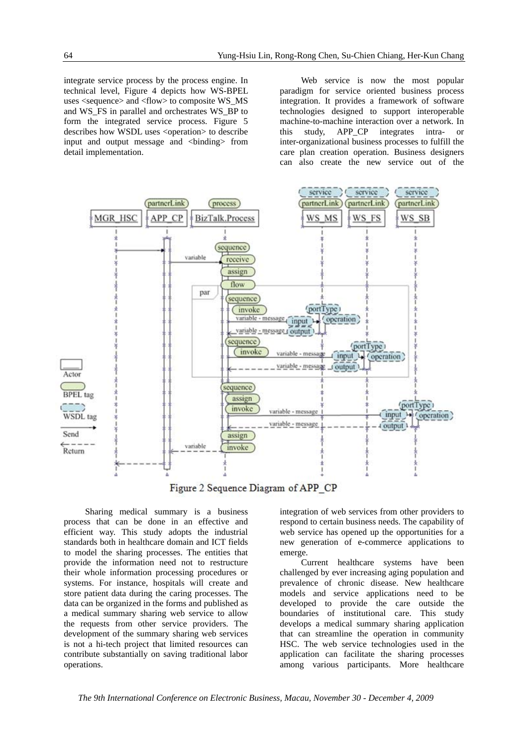integrate service process by the process engine. In technical level, Figure 4 depicts how WS-BPEL uses <sequence> and <flow> to composite WS\_MS and WS\_FS in parallel and orchestrates WS\_BP to form the integrated service process. Figure 5 describes how WSDL uses <operation> to describe input and output message and <binding> from detail implementation.

Web service is now the most popular paradigm for service oriented business process integration. It provides a framework of software technologies designed to support interoperable machine-to-machine interaction over a network. In this study, APP\_CP integrates intra- or inter-organizational business processes to fulfill the care plan creation operation. Business designers can also create the new service out of the



Figure 2 Sequence Diagram of APP CP

Sharing medical summary is a business process that can be done in an effective and efficient way. This study adopts the industrial standards both in healthcare domain and ICT fields to model the sharing processes. The entities that provide the information need not to restructure their whole information processing procedures or systems. For instance, hospitals will create and store patient data during the caring processes. The data can be organized in the forms and published as a medical summary sharing web service to allow the requests from other service providers. The development of the summary sharing web services is not a hi-tech project that limited resources can contribute substantially on saving traditional labor operations.

integration of web services from other providers to respond to certain business needs. The capability of web service has opened up the opportunities for a new generation of e-commerce applications to emerge.

Current healthcare systems have been challenged by ever increasing aging population and prevalence of chronic disease. New healthcare models and service applications need to be developed to provide the care outside the boundaries of institutional care. This study develops a medical summary sharing application that can streamline the operation in community HSC. The web service technologies used in the application can facilitate the sharing processes among various participants. More healthcare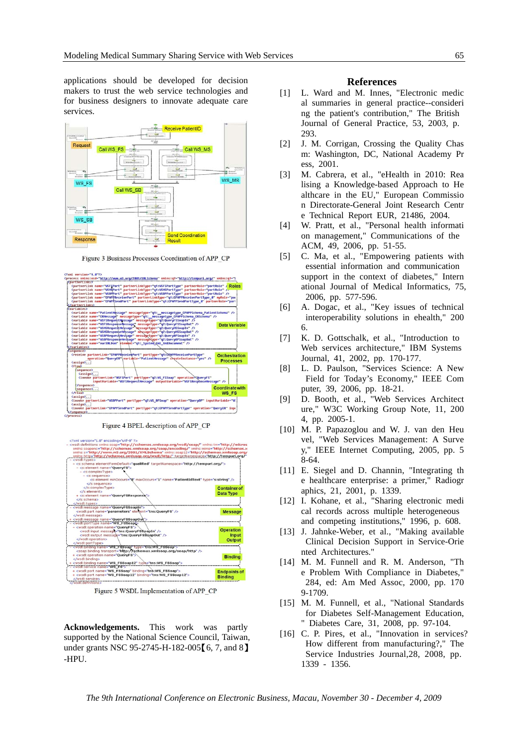applications should be developed for decision makers to trust the web service technologies and for business designers to innovate adequate care services.



Figure 3 Business Processes Coordination of APP CP



Figure 4 BPEL description of APP\_CP



Figure 5 WSDL Implementation of APP\_CP

**Acknowledgements.** This work was partly supported by the National Science Council, Taiwan, under grants NSC 95-2745-H-182-005<sup>[6]</sup>, 7, and 8<sup>]</sup> -HPU.

#### **References**

- [1] L. Ward and M. Innes, "Electronic medic al summaries in general practice--consideri ng the patient's contribution," The British Journal of General Practice, 53, 2003, p. 293.
- [2] J. M. Corrigan, Crossing the Quality Chas m: Washington, DC, National Academy Pr ess, 2001.
- [3] M. Cabrera, et al., "eHealth in 2010: Rea lising a Knowledge-based Approach to He althcare in the EU," European Commissio n Directorate-General Joint Research Centr e Technical Report EUR, 21486, 2004.
- [4] W. Pratt, et al., "Personal health informati on management," Communications of the ACM, 49, 2006, pp. 51-55.
- [5] C. Ma, et al., "Empowering patients with essential information and communication support in the context of diabetes," Intern ational Journal of Medical Informatics, 75, 2006, pp. 577-596.
- [6] A. Dogac, et al., "Key issues of technical interoperability solutions in ehealth," 200 6.
- [7] K. D. Gottschalk, et al., "Introduction to Web services architecture," IBM Systems Journal, 41, 2002, pp. 170-177.
- [8] L. D. Paulson, "Services Science: A New Field for Today's Economy," IEEE Com puter, 39, 2006, pp. 18-21.
- [9] D. Booth, et al., "Web Services Architect ure," W3C Working Group Note, 11, 200 4, pp. 2005-1.
- [10] M. P. Papazoglou and W. J. van den Heu vel, "Web Services Management: A Surve y," IEEE Internet Computing, 2005, pp. 5 8-64.
- [11] E. Siegel and D. Channin, "Integrating th e healthcare enterprise: a primer," Radiogr aphics, 21, 2001, p. 1339.
- [12] I. Kohane, et al., "Sharing electronic medi cal records across multiple heterogeneous and competing institutions," 1996, p. 608.
- [13] J. Jahnke-Weber, et al., "Making available Clinical Decision Support in Service-Orie nted Architectures."
- [14] M. M. Funnell and R. M. Anderson, "Th e Problem With Compliance in Diabetes," 284, ed: Am Med Assoc, 2000, pp. 170 9-1709.
- [15] M. M. Funnell, et al., "National Standards for Diabetes Self-Management Education, " Diabetes Care, 31, 2008, pp. 97-104.
- [16] C. P. Pires, et al., "Innovation in services? How different from manufacturing?," The Service Industries Journal,28, 2008, pp. 1339 - 1356.